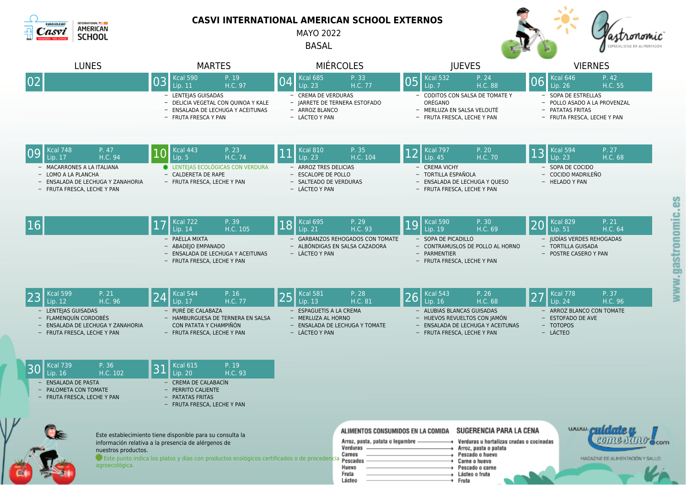

agroecológica.

## **CASVI INTERNATIONAL AMERICAN SCHOOL EXTERNOS**

MAYO 2022

BASAL



|    | <b>LUNES</b>                                                                                                   | <b>MARTES</b>                                                                                                                                              | <b>MIÉRCOLES</b>                                                                                       | <b>JUEVES</b>                                                                                                                  | <b>VIERNES</b>                                                                                              |
|----|----------------------------------------------------------------------------------------------------------------|------------------------------------------------------------------------------------------------------------------------------------------------------------|--------------------------------------------------------------------------------------------------------|--------------------------------------------------------------------------------------------------------------------------------|-------------------------------------------------------------------------------------------------------------|
| 02 |                                                                                                                | <b>Kcal 590</b><br>P. 19<br>03<br>H.C. 97<br>Lip. $11$<br>- LENTEJAS GUISADAS<br>- DELICIA VEGETAL CON QUINOA Y KALE                                       | P. 33<br><b>Kcal 685</b><br>H.C. 77<br>Lip. 23<br>- CREMA DE VERDURAS<br>- JARRETE DE TERNERA ESTOFADO | <b>Kcal 532</b><br>P. 24<br>05<br>H.C. 88<br>Lip. 7<br>- CODITOS CON SALSA DE TOMATE Y<br>ORÉGANO                              | <b>Kcal 646</b><br>P. 42<br>06<br>H.C. 55<br>Lip. 26<br>- SOPA DE ESTRELLAS<br>- POLLO ASADO A LA PROVENZAL |
|    |                                                                                                                | - ENSALADA DE LECHUGA Y ACEITUNAS<br>- FRUTA FRESCA Y PAN                                                                                                  | - ARROZ BLANCO<br>- LÁCTEO Y PAN                                                                       | - MERLUZA EN SALSA VELOUTÉ<br>- FRUTA FRESCA, LECHE Y PAN                                                                      | - PATATAS FRITAS<br>- FRUTA FRESCA, LECHE Y PAN                                                             |
| 09 | Kcal 748<br>P. 47<br>H.C. 94<br>Lip. 17<br>MACARRONES A LA ITALIANA                                            | Kcal 443<br>P. 23<br>H.C. 74<br>Lip. 5<br><b>ELENTEIAS ECOLÓGICAS CON VERDURA</b>                                                                          | P. 35<br><b>Kcal 810</b><br>Lip. 23<br>H.C. 104<br>- ARROZ TRES DELICIAS                               | <b>Kcal 797</b><br>P. 20<br>Lip. 45<br>H.C. 70<br>- CREMA VICHY                                                                | $Kcal$ 594<br>P. 27<br>13<br>Lip. 23<br>H.C. 68<br>- SOPA DE COCIDO                                         |
|    | - LOMO A LA PLANCHA<br>- ENSALADA DE LECHUGA Y ZANAHORIA<br>- FRUTA FRESCA, LECHE Y PAN                        | - CALDERETA DE RAPE<br>- FRUTA FRESCA, LECHE Y PAN                                                                                                         | - ESCALOPE DE POLLO<br>- SALTEADO DE VERDURAS<br>- LÁCTEO Y PAN                                        | - TORTILLA ESPAÑOLA<br>- ENSALADA DE LECHUGA Y QUESO<br>- FRUTA FRESCA, LECHE Y PAN                                            | - COCIDO MADRILEÑO<br>- HELADO Y PAN<br>8                                                                   |
| 16 |                                                                                                                | <b>Kcal 722</b><br>P. 39<br> 17<br>H.C. 105<br>Lip. 14                                                                                                     | <b>Kcal 695</b><br>P. 29<br>18<br>Lip. 21<br>H.C. 93                                                   | <b>Kcal 590</b><br>P. 30<br>19<br>Lip. 19<br>H.C. 69                                                                           | <b>Kcal 829</b><br>P. 21<br> 20<br>$\overline{Lip. 51}$<br>H.C. 64                                          |
|    |                                                                                                                | - PAELLA MIXTA<br>- ABADEJO EMPANADO<br>- ENSALADA DE LECHUGA Y ACEITUNAS<br>- FRUTA FRESCA, LECHE Y PAN                                                   | <b>GARBANZOS REHOGADOS CON TOMATE</b><br>- ALBÓNDIGAS EN SALSA CAZADORA<br>- LÁCTEO Y PAN              | - SOPA DE PICADILLO<br>- CONTRAMUSLOS DE POLLO AL HORNO<br>- PARMENTIER<br>- FRUTA FRESCA, LECHE Y PAN                         | www.gastronomic.<br>- JUDÍAS VERDES REHOGADAS<br>- TORTILLA GUISADA<br>- POSTRE CASERO Y PAN                |
| 23 | <b>Kcal 599</b><br>P. 21<br>H.C. 96<br>Lip. 12                                                                 | Kcal 544<br>P. 16<br>24<br>Lip. 17<br>H.C. 77                                                                                                              | <b>Kcal 581</b><br>P. 28<br>25<br>Lip. 13<br>H.C. 81                                                   | <b>Kcal 543</b><br>P. 26<br>26<br>Lip. 16<br>H.C. 68                                                                           | <b>Kcal 778</b><br>P. 37<br>27<br>Lip. 24<br>H.C. 96                                                        |
|    | - LENTEJAS GUISADAS<br>- FLAMENQUÍN CORDOBÉS<br>ENSALADA DE LECHUGA Y ZANAHORIA<br>- FRUTA FRESCA, LECHE Y PAN | - PURÉ DE CALABAZA<br>- HAMBURGUESA DE TERNERA EN SALSA<br>CON PATATA Y CHAMPIÑÓN<br>- FRUTA FRESCA, LECHE Y PAN                                           | <b>ESPAGUETIS A LA CREMA</b><br>- MERLUZA AL HORNO<br>- ENSALADA DE LECHUGA Y TOMATE<br>- LÁCTEO Y PAN | - ALUBIAS BLANCAS GUISADAS<br>- HUEVOS REVUELTOS CON JAMÓN<br>- ENSALADA DE LECHUGA Y ACEITUNAS<br>- FRUTA FRESCA, LECHE Y PAN | - ARROZ BLANCO CON TOMATE<br>- ESTOFADO DE AVE<br>- TOTOPOS<br>- LÁCTEO                                     |
| 30 | <b>Kcal 739</b><br>P. 36<br>H.C. 102<br>Lip. 16                                                                | P. 19<br><b>Kcal 615</b><br>31<br>Lip. 20<br>H.C. 93                                                                                                       |                                                                                                        |                                                                                                                                |                                                                                                             |
|    | <b>ENSALADA DE PASTA</b><br>PALOMETA CON TOMATE<br>- FRUTA FRESCA, LECHE Y PAN                                 | - CREMA DE CALABACÍN<br>- PERRITO CALIENTE<br>- PATATAS FRITAS<br>- FRUTA FRESCA, LECHE Y PAN                                                              |                                                                                                        |                                                                                                                                |                                                                                                             |
|    |                                                                                                                | Este establecimiento tiene disponible para su consulta la                                                                                                  | ALIMENTOS CONSUMIDOS EN LA COMIDA                                                                      | SUGERENCIA PARA LA CENA                                                                                                        | www.cuidate.m                                                                                               |
|    | nuestros productos.                                                                                            | información relativa a la presencia de alérgenos de<br>Este punto indica los platos y días con productos ecológicos certificados o de procedencia para dos | Arroz, pasta, patata o legumbre -<br>Verduras<br>Carnes                                                | Verduras u hortalizas crudas o cocinadas<br>Arroz, pasta o patata<br>$\rightarrow$ Pescado o huevo<br><b>A</b> Parna o hugun   | comenano<br>$Q$ com<br>MAGAZINE DE ALIMENTACIÓN Y SALUD                                                     |

Huevo

Fruta

Lácteo

Carne o huevo

Lácteo o fruta

Fruta

Pescado o carne